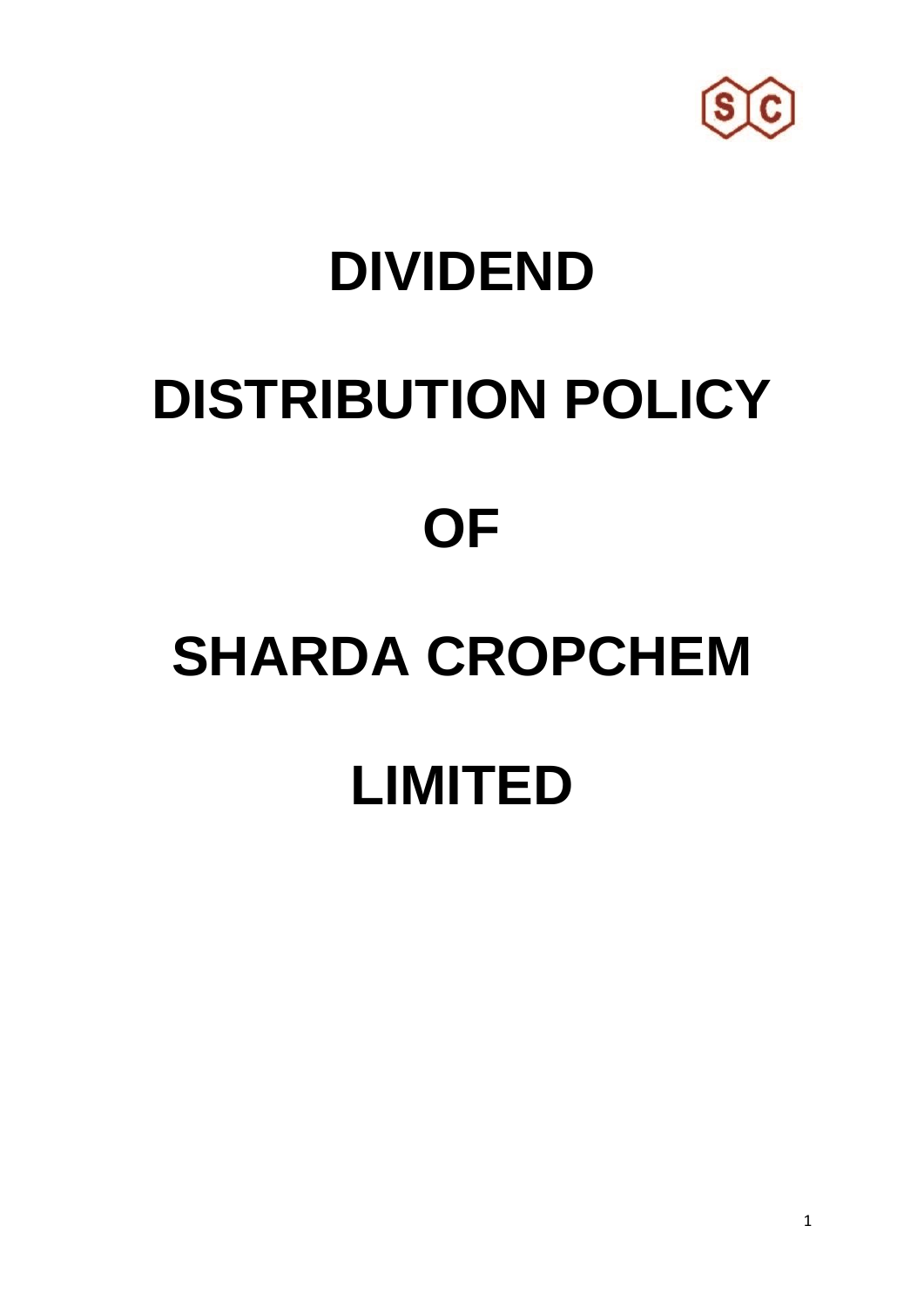

### **DIVIDEND**

# **DISTRIBUTION POLICY OF**

## **SHARDA CROPCHEM LIMITED**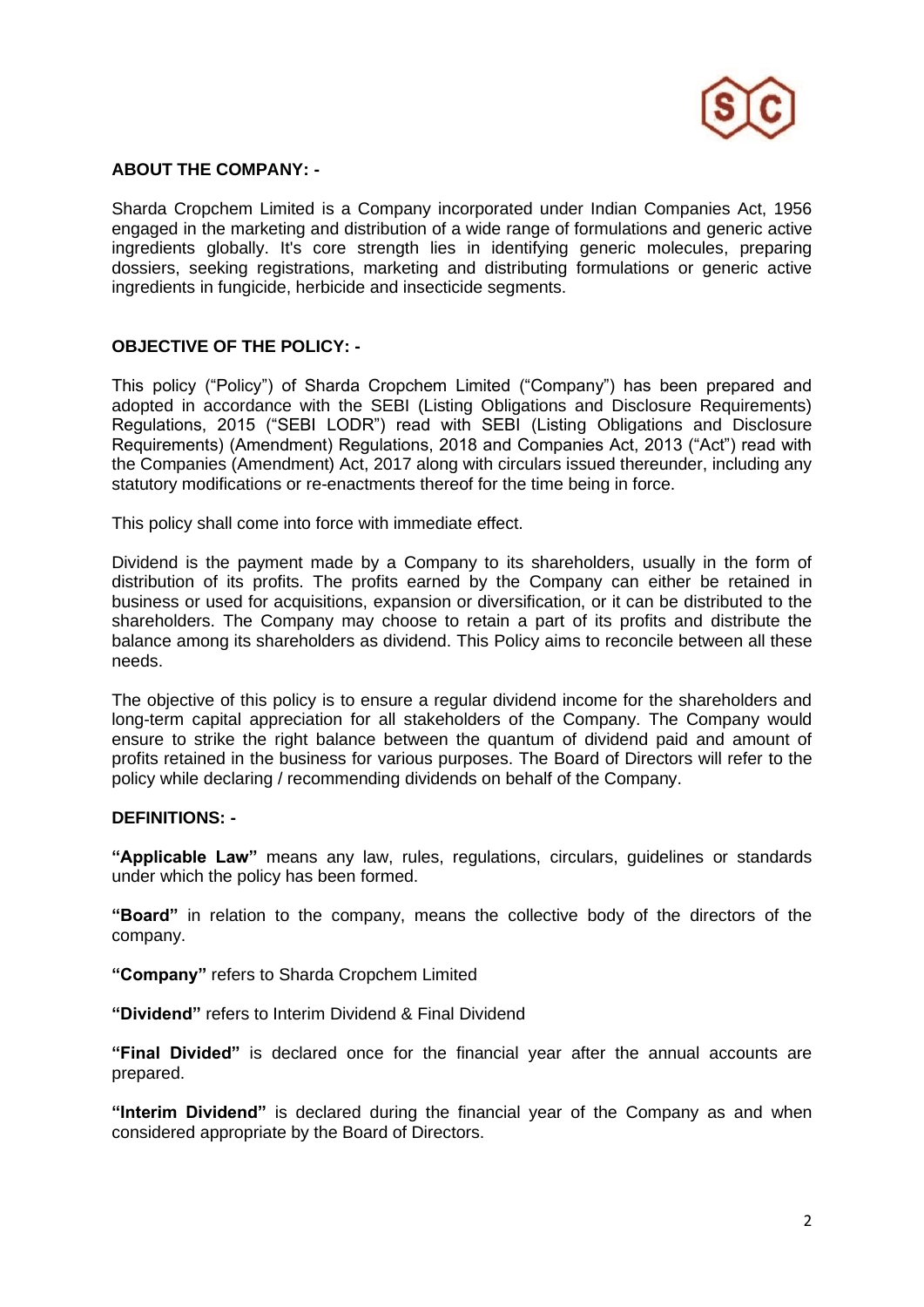

#### **ABOUT THE COMPANY: -**

Sharda Cropchem Limited is a Company incorporated under Indian Companies Act, 1956 engaged in the marketing and distribution of a wide range of formulations and generic active ingredients globally. It's core strength lies in identifying generic molecules, preparing dossiers, seeking registrations, marketing and distributing formulations or generic active ingredients in fungicide, herbicide and insecticide segments.

#### **OBJECTIVE OF THE POLICY: -**

This policy ("Policy") of Sharda Cropchem Limited ("Company") has been prepared and adopted in accordance with the SEBI (Listing Obligations and Disclosure Requirements) Regulations, 2015 ("SEBI LODR") read with SEBI (Listing Obligations and Disclosure Requirements) (Amendment) Regulations, 2018 and Companies Act, 2013 ("Act") read with the Companies (Amendment) Act, 2017 along with circulars issued thereunder, including any statutory modifications or re-enactments thereof for the time being in force.

This policy shall come into force with immediate effect.

Dividend is the payment made by a Company to its shareholders, usually in the form of distribution of its profits. The profits earned by the Company can either be retained in business or used for acquisitions, expansion or diversification, or it can be distributed to the shareholders. The Company may choose to retain a part of its profits and distribute the balance among its shareholders as dividend. This Policy aims to reconcile between all these needs.

The objective of this policy is to ensure a regular dividend income for the shareholders and long-term capital appreciation for all stakeholders of the Company. The Company would ensure to strike the right balance between the quantum of dividend paid and amount of profits retained in the business for various purposes. The Board of Directors will refer to the policy while declaring / recommending dividends on behalf of the Company.

#### **DEFINITIONS: -**

**"Applicable Law"** means any law, rules, regulations, circulars, guidelines or standards under which the policy has been formed.

**"Board"** in relation to the company, means the collective body of the directors of the company.

**"Company"** refers to Sharda Cropchem Limited

**"Dividend"** refers to Interim Dividend & Final Dividend

**"Final Divided"** is declared once for the financial year after the annual accounts are prepared.

**"Interim Dividend"** is declared during the financial year of the Company as and when considered appropriate by the Board of Directors.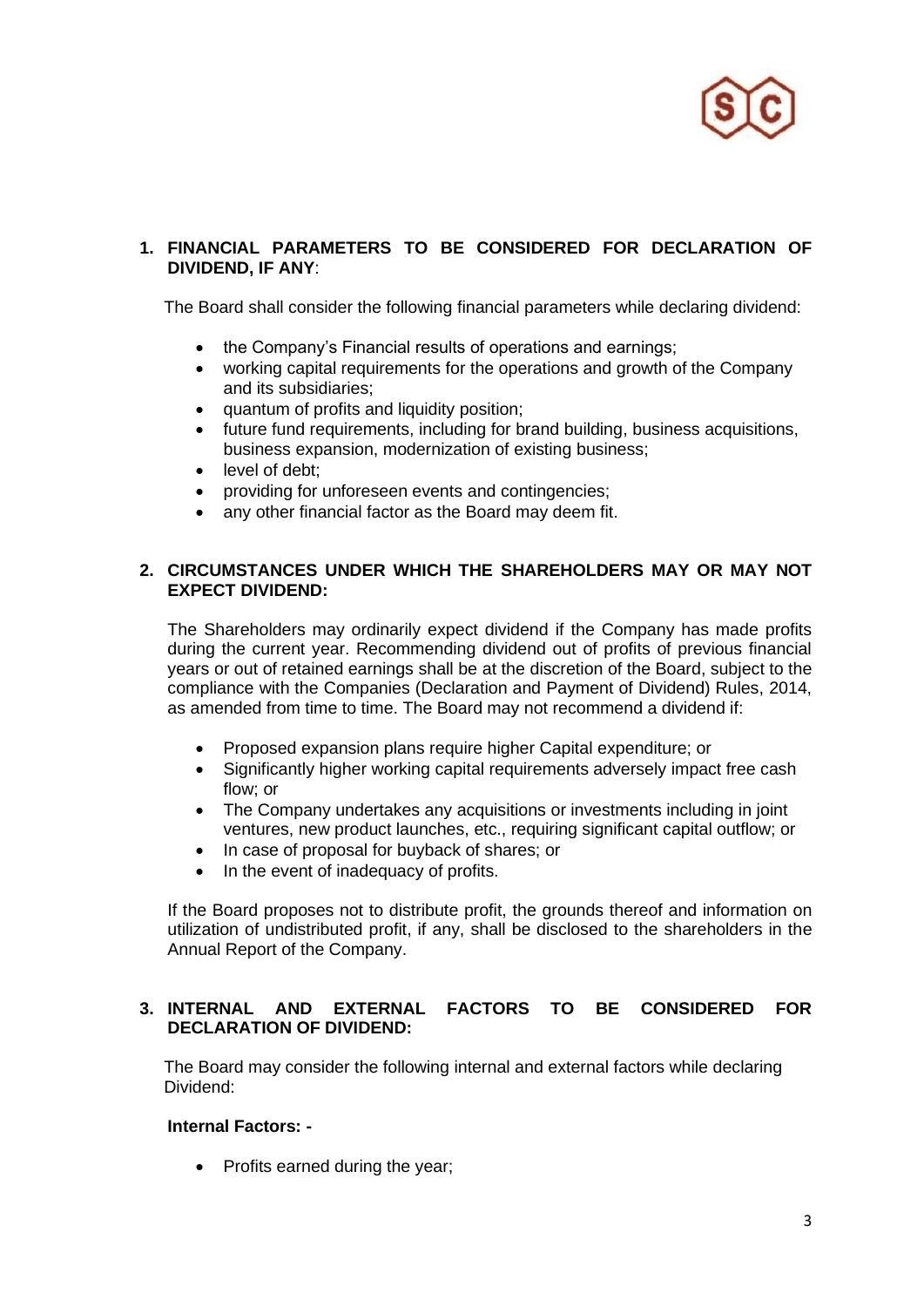

#### **1. FINANCIAL PARAMETERS TO BE CONSIDERED FOR DECLARATION OF DIVIDEND, IF ANY**:

The Board shall consider the following financial parameters while declaring dividend:

- the Company's Financial results of operations and earnings;
- working capital requirements for the operations and growth of the Company and its subsidiaries;
- quantum of profits and liquidity position;
- future fund requirements, including for brand building, business acquisitions, business expansion, modernization of existing business;
- level of debt:
- providing for unforeseen events and contingencies;
- any other financial factor as the Board may deem fit.

#### **2. CIRCUMSTANCES UNDER WHICH THE SHAREHOLDERS MAY OR MAY NOT EXPECT DIVIDEND:**

The Shareholders may ordinarily expect dividend if the Company has made profits during the current year. Recommending dividend out of profits of previous financial years or out of retained earnings shall be at the discretion of the Board, subject to the compliance with the Companies (Declaration and Payment of Dividend) Rules, 2014, as amended from time to time. The Board may not recommend a dividend if:

- Proposed expansion plans require higher Capital expenditure; or
- Significantly higher working capital requirements adversely impact free cash flow; or
- The Company undertakes any acquisitions or investments including in joint ventures, new product launches, etc., requiring significant capital outflow; or
- In case of proposal for buyback of shares; or
- In the event of inadequacy of profits.

If the Board proposes not to distribute profit, the grounds thereof and information on utilization of undistributed profit, if any, shall be disclosed to the shareholders in the Annual Report of the Company.

#### **3. INTERNAL AND EXTERNAL FACTORS TO BE CONSIDERED FOR DECLARATION OF DIVIDEND:**

 The Board may consider the following internal and external factors while declaring Dividend:

#### **Internal Factors: -**

• Profits earned during the year;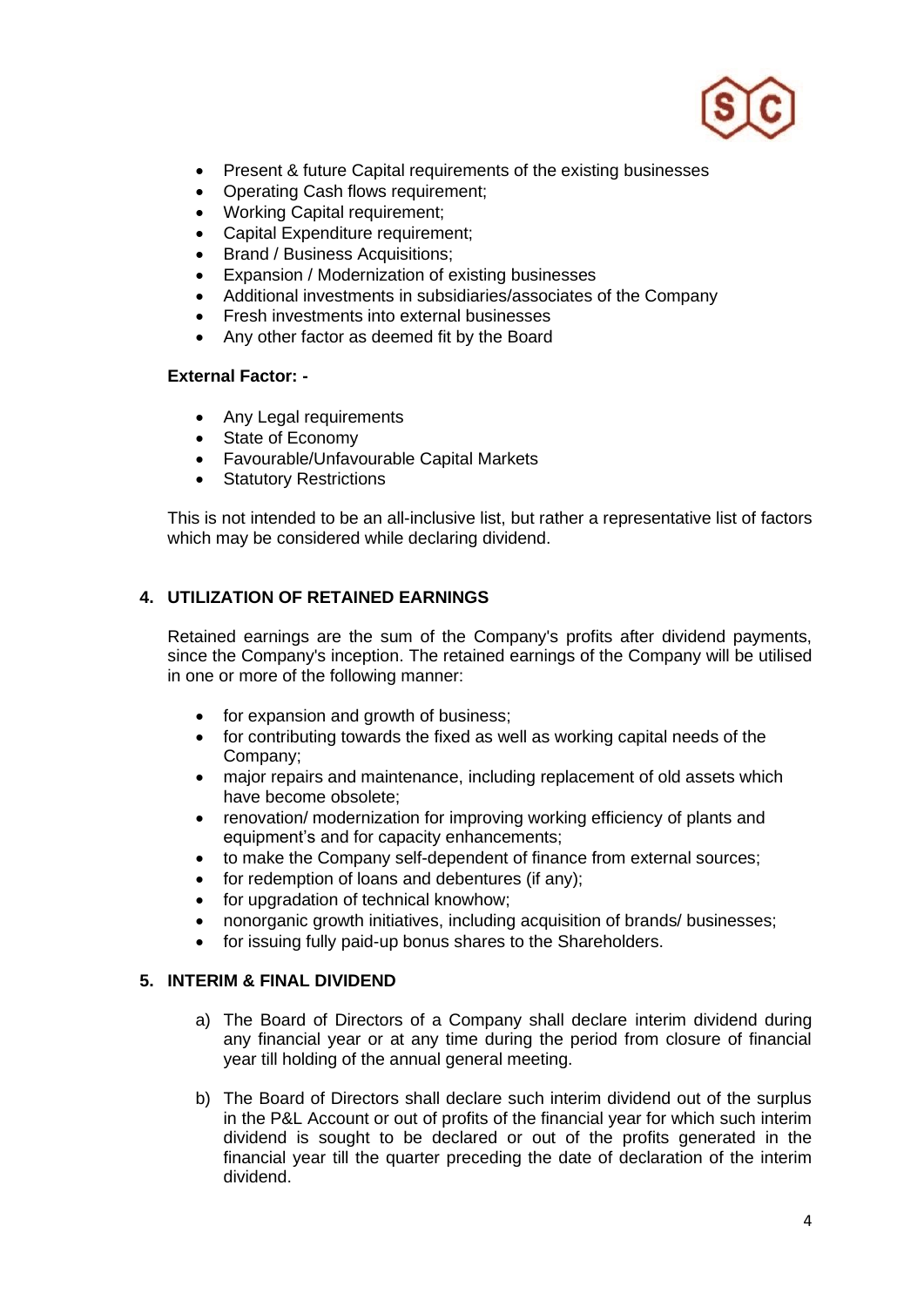

- Present & future Capital requirements of the existing businesses
- Operating Cash flows requirement;
- Working Capital requirement;
- Capital Expenditure requirement:
- Brand / Business Acquisitions;
- Expansion / Modernization of existing businesses
- Additional investments in subsidiaries/associates of the Company
- Fresh investments into external businesses
- Any other factor as deemed fit by the Board

#### **External Factor: -**

- Any Legal requirements
- State of Economy
- Favourable/Unfavourable Capital Markets
- Statutory Restrictions

This is not intended to be an all-inclusive list, but rather a representative list of factors which may be considered while declaring dividend.

#### **4. UTILIZATION OF RETAINED EARNINGS**

Retained earnings are the sum of the Company's profits after dividend payments, since the Company's inception. The retained earnings of the Company will be utilised in one or more of the following manner:

- for expansion and growth of business;
- for contributing towards the fixed as well as working capital needs of the Company;
- major repairs and maintenance, including replacement of old assets which have become obsolete;
- renovation/ modernization for improving working efficiency of plants and equipment's and for capacity enhancements;
- to make the Company self-dependent of finance from external sources;
- for redemption of loans and debentures (if any);
- for upgradation of technical knowhow;
- nonorganic growth initiatives, including acquisition of brands/ businesses;
- for issuing fully paid-up bonus shares to the Shareholders.

#### **5. INTERIM & FINAL DIVIDEND**

- a) The Board of Directors of a Company shall declare interim dividend during any financial year or at any time during the period from closure of financial year till holding of the annual general meeting.
- b) The Board of Directors shall declare such interim dividend out of the surplus in the P&L Account or out of profits of the financial year for which such interim dividend is sought to be declared or out of the profits generated in the financial year till the quarter preceding the date of declaration of the interim dividend.